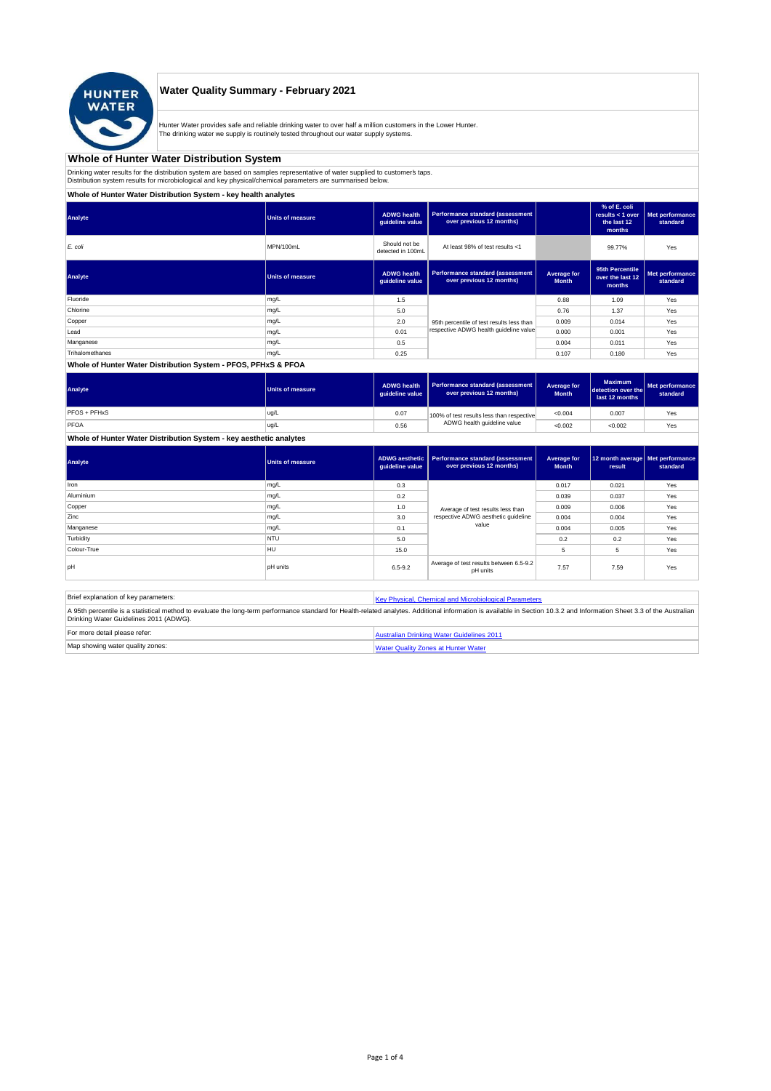

# **Water Quality Summary - February 2021**

Hunter Water provides safe and reliable drinking water to over half a million customers in the Lower Hunter. The drinking water we supply is routinely tested throughout our water supply systems.

# **Whole of Hunter Water Distribution System**

Drinking water results for the distribution system are based on samples representative of water supplied to customer' taps.<br>Distribution system results for microbiological and key physical/chemical parameters are summarise

**Whole of Hunter Water Distribution System - key health analytes**

| Analyte         | <b>Units of measure</b> | <b>ADWG</b> health<br>guideline value | Performance standard (assessment<br>over previous 12 months) |                             | % of E. coli<br>results $<$ 1 over<br>the last 12<br>months | Met performance<br>standard |
|-----------------|-------------------------|---------------------------------------|--------------------------------------------------------------|-----------------------------|-------------------------------------------------------------|-----------------------------|
| E. coli         | MPN/100mL               | Should not be<br>detected in 100mL    | At least 98% of test results <1                              |                             | 99.77%                                                      | Yes                         |
| Analyte         | Units of measure        | <b>ADWG health</b><br>quideline value | Performance standard (assessment<br>over previous 12 months) | Average for<br><b>Month</b> | 95th Percentile<br>over the last 12<br>months               | Met performance<br>standard |
| Fluoride        | mg/L                    | 1.5                                   |                                                              | 0.88                        | 1.09                                                        | Yes                         |
| Chlorine        | mg/L                    | 5.0                                   |                                                              | 0.76                        | 1.37                                                        | Yes                         |
| Copper          | mg/L                    | 2.0                                   | 95th percentile of test results less than                    | 0.009                       | 0.014                                                       | Yes                         |
| Lead            | mg/L                    | 0.01                                  | respective ADWG health quideline value                       | 0.000                       | 0.001                                                       | Yes                         |
| Manganese       | mg/L                    | 0.5                                   |                                                              | 0.004                       | 0.011                                                       | Yes                         |
| Trihalomethanes | mg/L                    | 0.25                                  |                                                              | 0.107                       | 0.180                                                       | Yes                         |
|                 |                         |                                       |                                                              |                             |                                                             |                             |

## **Whole of Hunter Water Distribution System - PFOS, PFHxS & PFOA**

| Analyte      | <b>Units of measure</b> | <b>ADWG health</b><br>auideline value | Performance standard (assessment<br>over previous 12 months) | Average for<br><b>Month</b> | <b>Maximum</b><br>detection over the<br>last 12 months | Met performance<br>standard |
|--------------|-------------------------|---------------------------------------|--------------------------------------------------------------|-----------------------------|--------------------------------------------------------|-----------------------------|
| PFOS + PFHxS | ug/L                    | 0.07                                  | 100% of test results less than respective                    | < 0.004                     | 0.007                                                  | Yes                         |
| PFOA         | ug/L                    | 0.56                                  | ADWG health guideline value                                  | < 0.002                     | < 0.002                                                | Yes                         |

### **Whole of Hunter Water Distribution System - key aesthetic analytes**

| Analyte     | Units of measure | guideline value | ADWG aesthetic   Performance standard (assessment<br>over previous 12 months) | Average for<br><b>Month</b> | 12 month average   Met performance<br>result | standard |
|-------------|------------------|-----------------|-------------------------------------------------------------------------------|-----------------------------|----------------------------------------------|----------|
| Iron        | mg/L             | 0.3             |                                                                               | 0.017                       | 0.021                                        | Yes      |
| Aluminium   | mg/L             | 0.2             |                                                                               | 0.039                       | 0.037                                        | Yes      |
| Copper      | mg/L             | 1.0             | Average of test results less than<br>respective ADWG aesthetic quideline      | 0.009                       | 0.006                                        | Yes      |
| Zinc        | mg/L             | 3.0             |                                                                               | 0.004                       | 0.004                                        | Yes      |
| Manganese   | mg/L             | 0.1             | value                                                                         | 0.004                       | 0.005                                        | Yes      |
| Turbidity   | <b>NTU</b>       | 5.0             |                                                                               | 0.2                         | 0.2                                          | Yes      |
| Colour-True | <b>HU</b>        | 15.0            |                                                                               | 5                           | 5                                            | Yes      |
| pH          | <b>pH</b> units  | $6.5 - 9.2$     | Average of test results between 6.5-9.2<br>pH units                           | 7.57                        | 7.59                                         | Yes      |

| Brief explanation of key parameters:   | Key Physical, Chemical and Microbiological Parameters                                                                                                                                                                   |
|----------------------------------------|-------------------------------------------------------------------------------------------------------------------------------------------------------------------------------------------------------------------------|
| Drinking Water Guidelines 2011 (ADWG). | A 95th percentile is a statistical method to evaluate the long-term performance standard for Health-related analytes. Additional information is available in Section 10.3.2 and Information Sheet 3.3 of the Australian |
| For more detail please refer:          | Australian Drinking Water Guidelines 2011                                                                                                                                                                               |
| Map showing water quality zones:       | <b>Water Quality Zones at Hunter Water</b>                                                                                                                                                                              |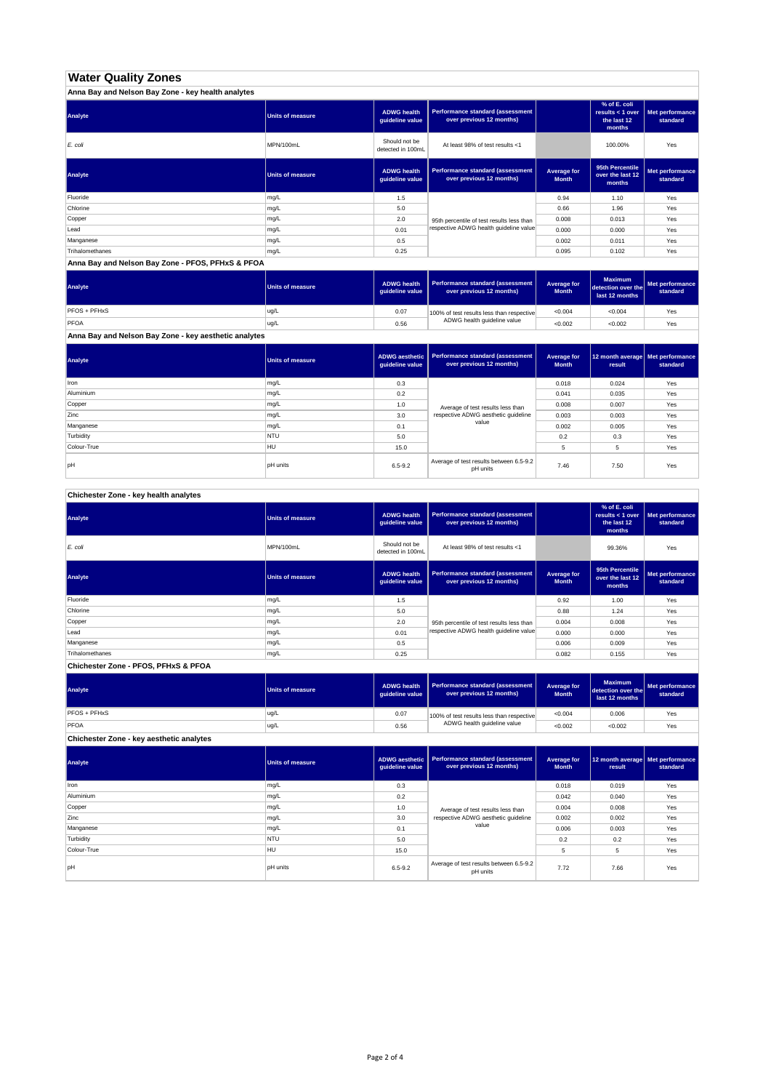# **Water Quality Zones**

| Anna Bay and Nelson Bay Zone - key health analytes |                  |                                       |                                                                     |                             |                                                           |                             |
|----------------------------------------------------|------------------|---------------------------------------|---------------------------------------------------------------------|-----------------------------|-----------------------------------------------------------|-----------------------------|
| Analyte                                            | Units of measure | <b>ADWG health</b><br>guideline value | <b>Performance standard (assessment</b><br>over previous 12 months) |                             | % of E. coli<br>results < 1 over<br>the last 12<br>months | Met performance<br>standard |
| E. coli                                            | MPN/100mL        | Should not be<br>detected in 100mL    | At least 98% of test results <1                                     |                             | 100.00%                                                   | Yes                         |
| Analyte                                            | Units of measure | <b>ADWG health</b><br>guideline value | Performance standard (assessment<br>over previous 12 months)        | Average for<br><b>Month</b> | 95th Percentile<br>over the last 12<br>months             | Met performance<br>standard |
| Fluoride                                           | mg/L             | 1.5                                   |                                                                     | 0.94                        | 1.10                                                      | Yes                         |
| Chlorine                                           | mg/L             | 5.0                                   |                                                                     | 0.66                        | 1.96                                                      | Yes                         |
| Copper                                             | mg/L             | 2.0                                   | 95th percentile of test results less than                           | 0.008                       | 0.013                                                     | Yes                         |
| Lead                                               | mg/L             | 0.01                                  | respective ADWG health guideline value                              | 0.000                       | 0.000                                                     | Yes                         |
| Manganese                                          | mg/L             | 0.5                                   |                                                                     | 0.002                       | 0.011                                                     | Yes                         |
| Trihalomethanes                                    | mg/L             | 0.25                                  |                                                                     | 0.095                       | 0.102                                                     | Yes                         |

**Anna Bay and Nelson Bay Zone - PFOS, PFHxS & PFOA**

| Analyte      | Units of measure | <b>ADWG health</b><br>quideline value | Performance standard (assessment<br>over previous 12 months) | <b>Average for</b><br><b>Month</b> | <b>Maximum</b><br>detection over the<br>last 12 months | Met performance<br>standard |
|--------------|------------------|---------------------------------------|--------------------------------------------------------------|------------------------------------|--------------------------------------------------------|-----------------------------|
| PFOS + PFHxS | ug/L             | 0.07                                  | 100% of test results less than respective                    | < 0.004                            | < 0.004                                                | Yes                         |
| PFOA         | ug/L             | 0.56                                  | ADWG health guideline value                                  | < 0.002                            | < 0.002                                                | Yes                         |

**Anna Bay and Nelson Bay Zone - key aesthetic analytes**

| Analyte     | <b>Units of measure</b> | ADWG aesthetic<br>guideline value | Performance standard (assessment<br>over previous 12 months)             | Average for<br><b>Month</b> | 12 month average   Met performance<br>result | standard |
|-------------|-------------------------|-----------------------------------|--------------------------------------------------------------------------|-----------------------------|----------------------------------------------|----------|
| Iron        | mg/L                    | 0.3                               |                                                                          | 0.018                       | 0.024                                        | Yes      |
| Aluminium   | mg/L                    | 0.2                               |                                                                          | 0.041                       | 0.035                                        | Yes      |
| Copper      | mg/L                    | 1.0                               |                                                                          | 0.008                       | 0.007                                        | Yes      |
| Zinc        | mg/L                    | 3.0                               | Average of test results less than<br>respective ADWG aesthetic quideline | 0.003                       | 0.003                                        | Yes      |
| Manganese   | mg/L                    | 0.1                               | value                                                                    | 0.002                       | 0.005                                        | Yes      |
| Turbidity   | <b>NTU</b>              | 5.0                               |                                                                          | 0.2                         | 0.3                                          | Yes      |
| Colour-True | HU                      | 15.0                              |                                                                          |                             | 5                                            | Yes      |
| pH          | <b>pH</b> units         | $6.5 - 9.2$                       | Average of test results between 6.5-9.2<br>pH units                      | 7.46                        | 7.50                                         | Yes      |

**Chichester Zone - key health analytes**

| Analyte         | <b>Units of measure</b> | <b>ADWG health</b><br>guideline value | Performance standard (assessment<br>over previous 12 months) |                             | % of E. coli<br>results $<$ 1 over<br>the last 12<br>months | Met performance<br>standard |
|-----------------|-------------------------|---------------------------------------|--------------------------------------------------------------|-----------------------------|-------------------------------------------------------------|-----------------------------|
| E. coli         | MPN/100mL               | Should not be<br>detected in 100mL    | At least 98% of test results <1                              |                             | 99.36%                                                      | Yes                         |
| Analyte         | <b>Units of measure</b> | <b>ADWG health</b><br>guideline value | Performance standard (assessment<br>over previous 12 months) | Average for<br><b>Month</b> | 95th Percentile<br>over the last 12<br>months               | Met performance<br>standard |
| Fluoride        | mg/L                    | 1.5                                   |                                                              | 0.92                        | 1.00                                                        | Yes                         |
| Chlorine        | mg/L                    | 5.0                                   |                                                              | 0.88                        | 1.24                                                        | Yes                         |
| Copper          | mg/L                    | 2.0                                   | 95th percentile of test results less than                    | 0.004                       | 0.008                                                       | Yes                         |
| Lead            | mg/L                    | 0.01                                  | respective ADWG health quideline value                       | 0.000                       | 0.000                                                       | Yes                         |
| Manganese       | mg/L                    | 0.5                                   |                                                              | 0.006                       | 0.009                                                       | Yes                         |
| Trihalomethanes | mg/L                    | 0.25                                  |                                                              | 0.082                       | 0.155                                                       | Yes                         |

**Chichester Zone - PFOS, PFHxS & PFOA**

| Analyte      | Units of measure | <b>ADWG health</b><br>quideline value | Performance standard (assessment<br>over previous 12 months) | Average for<br><b>Month</b> | <b>Maximum</b><br>detection over the<br>last 12 months | Met performance<br>standard |
|--------------|------------------|---------------------------------------|--------------------------------------------------------------|-----------------------------|--------------------------------------------------------|-----------------------------|
| PFOS + PFHxS | ug/L             | 0.07                                  | 100% of test results less than respective                    | < 0.004                     | 0.006                                                  | Yes                         |
| PFOA         | ug/L             | 0.56                                  | ADWG health guideline value                                  | < 0.002                     | < 0.002                                                | Yes                         |

**Chichester Zone - key aesthetic analytes**

| Analyte     | <b>Units of measure</b> | ADWG aesthetic<br>guideline value | Performance standard (assessment<br>over previous 12 months) | Average for<br><b>Month</b> | 12 month average Met performance<br>result | standard |
|-------------|-------------------------|-----------------------------------|--------------------------------------------------------------|-----------------------------|--------------------------------------------|----------|
| Iron        | mg/L                    | 0.3                               |                                                              | 0.018                       | 0.019                                      | Yes      |
| Aluminium   | mg/L                    | 0.2                               |                                                              | 0.042                       | 0.040                                      | Yes      |
| Copper      | mg/L                    | 1.0                               | Average of test results less than                            | 0.004                       | 0.008                                      | Yes      |
| Zinc        | mg/L                    | 3.0                               | respective ADWG aesthetic quideline                          | 0.002                       | 0.002                                      | Yes      |
| Manganese   | mg/L                    | 0.1                               | value                                                        | 0.006                       | 0.003                                      | Yes      |
| Turbidity   | <b>NTU</b>              | 5.0                               |                                                              | 0.2                         | 0.2                                        | Yes      |
| Colour-True | <b>HU</b>               | 15.0                              |                                                              | 5                           | 5                                          | Yes      |
| pH          | <b>pH</b> units         | $6.5 - 9.2$                       | Average of test results between 6.5-9.2<br>pH units          | 7.72                        | 7.66                                       | Yes      |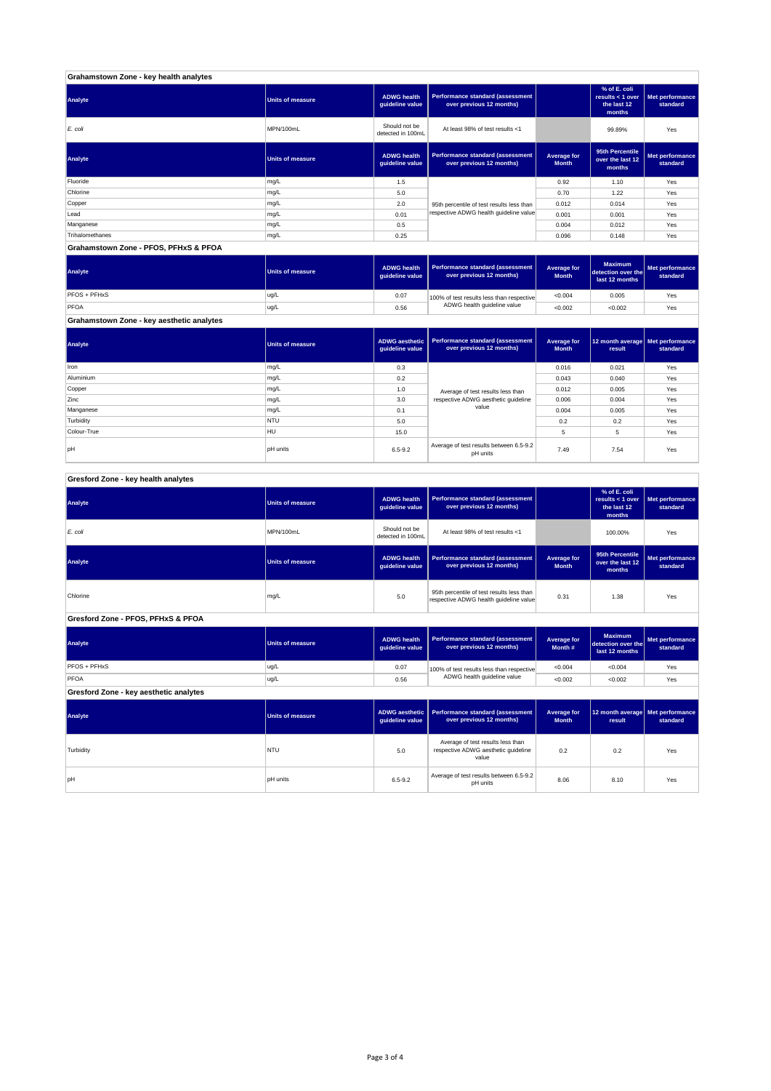| Grahamstown Zone - key health analytes |                         |                                       |                                                              |                             |                                                           |                             |
|----------------------------------------|-------------------------|---------------------------------------|--------------------------------------------------------------|-----------------------------|-----------------------------------------------------------|-----------------------------|
| Analyte                                | <b>Units of measure</b> | <b>ADWG health</b><br>guideline value | Performance standard (assessment<br>over previous 12 months) |                             | % of E. coli<br>results < 1 over<br>the last 12<br>months | Met performance<br>standard |
| E. coli                                | MPN/100mL               | Should not be<br>detected in 100mL    | At least 98% of test results <1                              |                             | 99.89%                                                    | Yes                         |
| Analyte                                | <b>Units of measure</b> | <b>ADWG health</b><br>guideline value | Performance standard (assessment<br>over previous 12 months) | Average for<br><b>Month</b> | 95th Percentile<br>over the last 12<br>months             | Met performance<br>standard |
| Fluoride                               | mg/L                    | 1.5                                   |                                                              | 0.92                        | 1.10                                                      | Yes                         |
| Chlorine                               | mg/L                    | 5.0                                   |                                                              | 0.70                        | 1.22                                                      | Yes                         |
| Copper                                 | mg/L                    | 2.0                                   | 95th percentile of test results less than                    | 0.012                       | 0.014                                                     | Yes                         |
| Lead                                   | mg/L                    | 0.01                                  | respective ADWG health guideline value                       | 0.001                       | 0.001                                                     | Yes                         |
| Manganese                              | mg/L                    | 0.5                                   |                                                              | 0.004                       | 0.012                                                     | Yes                         |
| Trihalomethanes                        | mg/L                    | 0.25                                  |                                                              | 0.096                       | 0.148                                                     | Yes                         |
| Grahamstown Zone - PFOS, PFHxS & PFOA  |                         |                                       |                                                              |                             |                                                           |                             |

**ADWG health guideline value Average for Month Maximum detection over the last 12 months Met performance standard** 0.07 100% of test results less than respective  $\sim 0.004$  0.005  $\sim$  Yes 0.56 <0.002 <0.002 Yes PFOS + PFHxS ug/L PFOA ug/L 100% of test results less than respective ADWG health guideline value **Analyte Performance standard (assessment <b>Performance standard (assessment Performance standard (assessment Performance standard (assessment Performance standard (assessment Grahamstown Zone - key aesthetic analytes**

**ADWG aesthetic guideline value Average for Month 12 month average result Met performance standard** 0.3 0.016 0.021 Yes 0.2 0.043 0.040 Yes 1.0 Average of text results less than 0.012 0.005  $\sim$  Yes 3.0 | respective ADWG aesthetic guideline | 0.006 | 0.004 | Yes 0.1 | <sup>carac</sup> | 0.004 | 0.005 | Yes 5.0 0.2 0.2 Yes 15.0 5 5 Yes pH pH units contract the set of test results between 6.5-9.2 7.49 7.54 Yes<br>pH pH units contract results between 5.5-9.2 7.49 7.54 Yes Aluminium mg/L Copper mg/L Zinc mg/L **Analyte Performance standard (assessment <b>Performance standard (assessment Performance standard (assessment Performance standard (assessment performance standard (assessment**) Iron mg/L Average of test results less than respective ADWG aesthetic guideline value pH units Manganese mg/L and the material control of the material control of the material control of the material control of the material control of the material control of the material control of the material control of the materia **Turbidity** NTU Colour-True HULL

#### **ADWG health guideline value % of E. coli results < 1 over the last 12 months Met performance standard** Should not be<br>detected in 100ml detected in 100mL 100.00% Yes *E. coli* MPN/100mL At least 98% of test results <1 **ADWG health guideline value Average for Month 95th Percentile over the last 12 months Met performance standard** mg/L 95.0 percentile of test results less than percentile of test respective ADWG health guideline value of the metalline of the metalline value of the metalline value of the metalline value of the metalline value of the m **ADWG health guideline value Average for Month # Maximum detection over the last 12 months Met performance standard** 0.07 100% of test results less than respective  $\sim 0.004$   $\sim 0.004$  Yes 0.56 <0.002 <0.002 Yes **ADWG aesthetic guideline value Average for Month 12 month average result Met performance standard** 5.0 0.2 0.2 Yes Average of test results less than respective ADWG aesthetic guideline pH units the state of the S.5-9.2 Average of test results between 6.5-9.2 a.06 a.10 Yes<br>PH units and the state of the state of the state of the state of the state of the S.5-9.2 a.06 a.10 Yes **Gresford Zone - key health analytes Analyte Performance standard (assessment Performance standard (assessment Performance standard (assessment Performance standard (assessment performance standard (assessment Gresford Zone - PFOS, PFHxS & PFOA Analyte Performance standard (assessment <b>Performance standard (assessment Performance standard (assessment Performance standard (assessment performance standard (assessment Analyte Performance standard (assessment <b>Performance standard (assessment Performance standard (assessment Performance standard (assessment Performance standard (assessment Gresford Zone - key aesthetic analytes Analyte Performance standard (assessment Performance standard (assessment Performance standard (assessment Performance standard (assessment performance standard (assessment**) **Turbidity** NTU value PFOS + PFHxS ug/L PFOA ug/L 100% of test results less than respective ADWG health guideline value